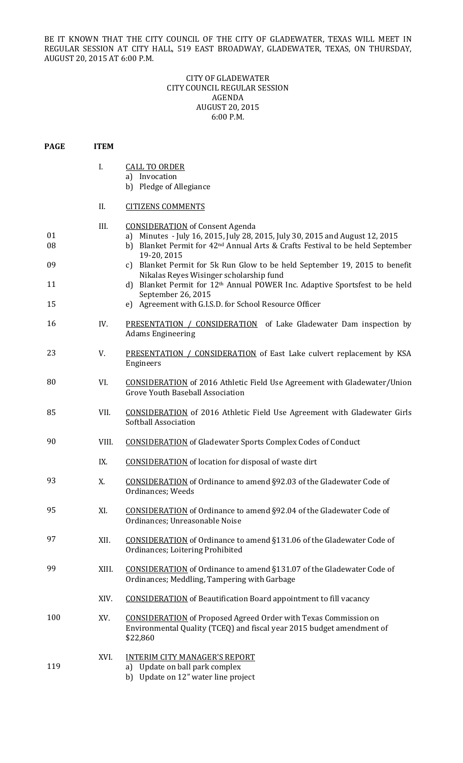BE IT KNOWN THAT THE CITY COUNCIL OF THE CITY OF GLADEWATER, TEXAS WILL MEET IN REGULAR SESSION AT CITY HALL, 519 EAST BROADWAY, GLADEWATER, TEXAS, ON THURSDAY, AUGUST 20, 2015 AT 6:00 P.M.

## CITY OF GLADEWATER CITY COUNCIL REGULAR SESSION AGENDA AUGUST 20, 2015 6:00 P.M.

| <b>PAGE</b>          | <b>ITEM</b> |                                                                                                                                                                                                                                                                                                                                                                                                                                                                      |
|----------------------|-------------|----------------------------------------------------------------------------------------------------------------------------------------------------------------------------------------------------------------------------------------------------------------------------------------------------------------------------------------------------------------------------------------------------------------------------------------------------------------------|
|                      | I.          | <b>CALL TO ORDER</b><br>a) Invocation<br>b) Pledge of Allegiance                                                                                                                                                                                                                                                                                                                                                                                                     |
|                      | II.         | <b>CITIZENS COMMENTS</b>                                                                                                                                                                                                                                                                                                                                                                                                                                             |
| 01<br>08<br>09<br>11 | III.        | <b>CONSIDERATION</b> of Consent Agenda<br>a) Minutes - July 16, 2015, July 28, 2015, July 30, 2015 and August 12, 2015<br>b) Blanket Permit for 42 <sup>nd</sup> Annual Arts & Crafts Festival to be held September<br>19-20, 2015<br>Blanket Permit for 5k Run Glow to be held September 19, 2015 to benefit<br>$\mathcal{C}$<br>Nikalas Reyes Wisinger scholarship fund<br>d) Blanket Permit for 12 <sup>th</sup> Annual POWER Inc. Adaptive Sportsfest to be held |
| 15                   |             | September 26, 2015<br>e) Agreement with G.I.S.D. for School Resource Officer                                                                                                                                                                                                                                                                                                                                                                                         |
| 16                   | IV.         | <b>PRESENTATION / CONSIDERATION</b> of Lake Gladewater Dam inspection by<br><b>Adams Engineering</b>                                                                                                                                                                                                                                                                                                                                                                 |
| 23                   | V.          | PRESENTATION / CONSIDERATION of East Lake culvert replacement by KSA<br>Engineers                                                                                                                                                                                                                                                                                                                                                                                    |
| 80                   | VI.         | <b>CONSIDERATION</b> of 2016 Athletic Field Use Agreement with Gladewater/Union<br><b>Grove Youth Baseball Association</b>                                                                                                                                                                                                                                                                                                                                           |
| 85                   | VII.        | <b>CONSIDERATION</b> of 2016 Athletic Field Use Agreement with Gladewater Girls<br>Softball Association                                                                                                                                                                                                                                                                                                                                                              |
| 90                   | VIII.       | <b>CONSIDERATION</b> of Gladewater Sports Complex Codes of Conduct                                                                                                                                                                                                                                                                                                                                                                                                   |
|                      | IX.         | <b>CONSIDERATION</b> of location for disposal of waste dirt                                                                                                                                                                                                                                                                                                                                                                                                          |
| 93                   | X.          | <b>CONSIDERATION</b> of Ordinance to amend §92.03 of the Gladewater Code of<br>Ordinances; Weeds                                                                                                                                                                                                                                                                                                                                                                     |
| 95                   | XI.         | <b>CONSIDERATION</b> of Ordinance to amend §92.04 of the Gladewater Code of<br>Ordinances; Unreasonable Noise                                                                                                                                                                                                                                                                                                                                                        |
| 97                   | XII.        | <b>CONSIDERATION</b> of Ordinance to amend §131.06 of the Gladewater Code of<br>Ordinances; Loitering Prohibited                                                                                                                                                                                                                                                                                                                                                     |
| 99                   | XIII.       | <b>CONSIDERATION</b> of Ordinance to amend §131.07 of the Gladewater Code of<br>Ordinances; Meddling, Tampering with Garbage                                                                                                                                                                                                                                                                                                                                         |
|                      | XIV.        | <b>CONSIDERATION</b> of Beautification Board appointment to fill vacancy                                                                                                                                                                                                                                                                                                                                                                                             |
| 100                  | XV.         | <b>CONSIDERATION</b> of Proposed Agreed Order with Texas Commission on<br>Environmental Quality (TCEQ) and fiscal year 2015 budget amendment of<br>\$22,860                                                                                                                                                                                                                                                                                                          |
| 119                  | XVI.        | <b>INTERIM CITY MANAGER'S REPORT</b><br>a) Update on ball park complex<br>b) Update on 12" water line project                                                                                                                                                                                                                                                                                                                                                        |